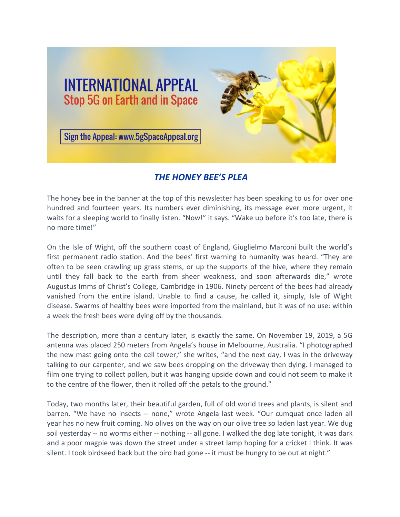

## *THE HONEY BEE'S PLEA*

The honey bee in the banner at the top of this newsletter has been speaking to us for over one hundred and fourteen years. Its numbers ever diminishing, its message ever more urgent, it waits for a sleeping world to finally listen. "Now!" it says. "Wake up before it's too late, there is no more time!"

On the Isle of Wight, off the southern coast of England, Giuglielmo Marconi built the world's first permanent radio station. And the bees' first warning to humanity was heard. "They are often to be seen crawling up grass stems, or up the supports of the hive, where they remain until they fall back to the earth from sheer weakness, and soon afterwards die," wrote Augustus Imms of Christ's College, Cambridge in 1906. Ninety percent of the bees had already vanished from the entire island. Unable to find a cause, he called it, simply, Isle of Wight disease. Swarms of healthy bees were imported from the mainland, but it was of no use: within a week the fresh bees were dying off by the thousands.

The description, more than a century later, is exactly the same. On November 19, 2019, a 5G antenna was placed 250 meters from Angela's house in Melbourne, Australia. "I photographed the new mast going onto the cell tower," she writes, "and the next day, I was in the driveway talking to our carpenter, and we saw bees dropping on the driveway then dying. I managed to film one trying to collect pollen, but it was hanging upside down and could not seem to make it to the centre of the flower, then it rolled off the petals to the ground."

Today, two months later, their beautiful garden, full of old world trees and plants, is silent and barren. "We have no insects -- none," wrote Angela last week. "Our cumquat once laden all year has no new fruit coming. No olives on the way on our olive tree so laden last year. We dug soil yesterday -- no worms either -- nothing -- all gone. I walked the dog late tonight, it was dark and a poor magpie was down the street under a street lamp hoping for a cricket I think. It was silent. I took birdseed back but the bird had gone -- it must be hungry to be out at night."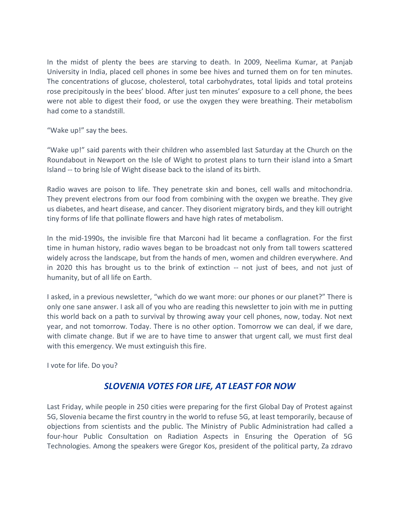In the midst of plenty the bees are starving to death. In 2009, Neelima Kumar, at Panjab University in India, placed cell phones in some bee hives and turned them on for ten minutes. The concentrations of glucose, cholesterol, total carbohydrates, total lipids and total proteins rose precipitously in the bees' blood. After just ten minutes' exposure to a cell phone, the bees were not able to digest their food, or use the oxygen they were breathing. Their metabolism had come to a standstill.

"Wake up!" say the bees.

"Wake up!" said parents with their children who assembled last Saturday at the Church on the Roundabout in Newport on the Isle of Wight to protest plans to turn their island into a Smart Island -- to bring Isle of Wight disease back to the island of its birth.

Radio waves are poison to life. They penetrate skin and bones, cell walls and mitochondria. They prevent electrons from our food from combining with the oxygen we breathe. They give us diabetes, and heart disease, and cancer. They disorient migratory birds, and they kill outright tiny forms of life that pollinate flowers and have high rates of metabolism.

In the mid-1990s, the invisible fire that Marconi had lit became a conflagration. For the first time in human history, radio waves began to be broadcast not only from tall towers scattered widely across the landscape, but from the hands of men, women and children everywhere. And in 2020 this has brought us to the brink of extinction -- not just of bees, and not just of humanity, but of all life on Earth.

I asked, in a previous newsletter, "which do we want more: our phones or our planet?" There is only one sane answer. I ask all of you who are reading this newsletter to join with me in putting this world back on a path to survival by throwing away your cell phones, now, today. Not next year, and not tomorrow. Today. There is no other option. Tomorrow we can deal, if we dare, with climate change. But if we are to have time to answer that urgent call, we must first deal with this emergency. We must extinguish this fire.

I vote for life. Do you?

## *SLOVENIA VOTES FOR LIFE, AT LEAST FOR NOW*

Last Friday, while people in 250 cities were preparing for the first Global Day of Protest against 5G, Slovenia became the first country in the world to refuse 5G, at least temporarily, because of objections from scientists and the public. The Ministry of Public Administration had called a four-hour Public Consultation on Radiation Aspects in Ensuring the Operation of 5G Technologies. Among the speakers were Gregor Kos, president of the political party, Za zdravo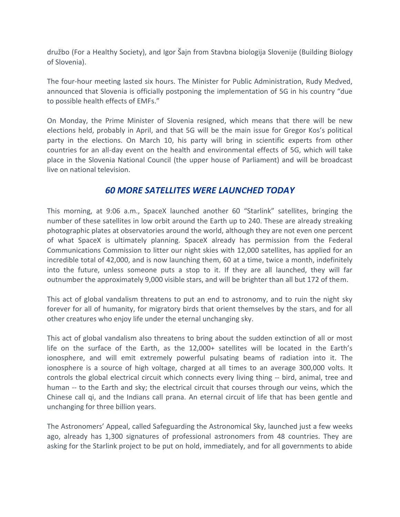družbo (For a Healthy Society), and Igor Šajn from Stavbna biologija Slovenije (Building Biology of Slovenia).

The four-hour meeting lasted six hours. The Minister for Public Administration, Rudy Medved, announced that Slovenia is officially postponing the implementation of 5G in his country "due to possible health effects of EMFs."

On Monday, the Prime Minister of Slovenia resigned, which means that there will be new elections held, probably in April, and that 5G will be the main issue for Gregor Kos's political party in the elections. On March 10, his party will bring in scientific experts from other countries for an all-day event on the health and environmental effects of 5G, which will take place in the Slovenia National Council (the upper house of Parliament) and will be broadcast live on national television.

## *60 MORE SATELLITES WERE LAUNCHED TODAY*

This morning, at 9:06 a.m., SpaceX launched another 60 "Starlink" satellites, bringing the number of these satellites in low orbit around the Earth up to 240. These are already streaking photographic plates at observatories around the world, although they are not even one percent of what SpaceX is ultimately planning. SpaceX already has permission from the Federal Communications Commission to litter our night skies with 12,000 satellites, has applied for an incredible total of 42,000, and is now launching them, 60 at a time, twice a month, indefinitely into the future, unless someone puts a stop to it. If they are all launched, they will far outnumber the approximately 9,000 visible stars, and will be brighter than all but 172 of them.

This act of global vandalism threatens to put an end to astronomy, and to ruin the night sky forever for all of humanity, for migratory birds that orient themselves by the stars, and for all other creatures who enjoy life under the eternal unchanging sky.

This act of global vandalism also threatens to bring about the sudden extinction of all or most life on the surface of the Earth, as the 12,000+ satellites will be located in the Earth's ionosphere, and will emit extremely powerful pulsating beams of radiation into it. The ionosphere is a source of high voltage, charged at all times to an average 300,000 volts. It controls the global electrical circuit which connects every living thing -- bird, animal, tree and human -- to the Earth and sky; the electrical circuit that courses through our veins, which the Chinese call qi, and the Indians call prana. An eternal circuit of life that has been gentle and unchanging for three billion years.

The Astronomers' Appeal, called Safeguarding the Astronomical Sky, launched just a few weeks ago, already has 1,300 signatures of professional astronomers from 48 countries. They are asking for the Starlink project to be put on hold, immediately, and for all governments to abide